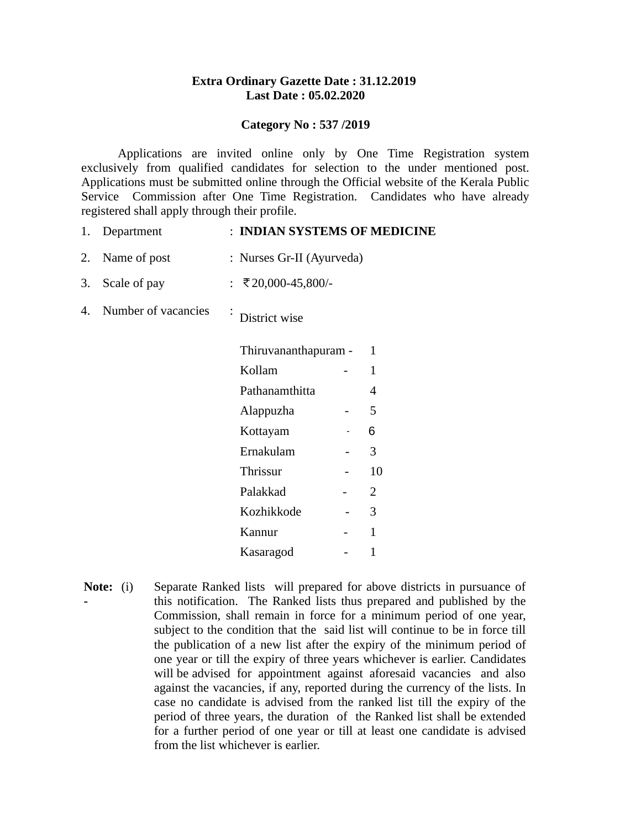#### **Extra Ordinary Gazette Date : 31.12.2019 Last Date : 05.02.2020**

#### **Category No : 537 /2019**

Applications are invited online only by One Time Registration system exclusively from qualified candidates for selection to the under mentioned post. Applications must be submitted online through the Official website of the Kerala Public Service Commission after One Time Registration. Candidates who have already registered shall apply through their profile.

| 1. | Department          | : INDIAN SYSTEMS OF MEDICINE               |  |
|----|---------------------|--------------------------------------------|--|
| 2. | Name of post        | : Nurses Gr-II (Ayurveda)                  |  |
| 3. | Scale of pay        | : ₹20,000-45,800/-                         |  |
| 4. | Number of vacancies | $\bullet$<br>District wise                 |  |
|    |                     | Thiruvananthapuram -<br>1                  |  |
|    |                     | Kollam<br>1                                |  |
|    |                     | Pathanamthitta<br>4                        |  |
|    |                     | 5<br>Alappuzha<br>$\overline{\phantom{a}}$ |  |
|    |                     | 6<br>Kottayam                              |  |
|    |                     | Ernakulam<br>3                             |  |
|    |                     | Thrissur<br>10<br>-                        |  |
|    |                     | Palakkad<br>2                              |  |
|    |                     | 3<br>Kozhikkode                            |  |

**Note: -** Separate Ranked lists will prepared for above districts in pursuance of this notification. The Ranked lists thus prepared and published by the Commission, shall remain in force for a minimum period of one year, subject to the condition that the said list will continue to be in force till the publication of a new list after the expiry of the minimum period of one year or till the expiry of three years whichever is earlier. Candidates will be advised for appointment against aforesaid vacancies and also against the vacancies, if any, reported during the currency of the lists. In case no candidate is advised from the ranked list till the expiry of the period of three years, the duration of the Ranked list shall be extended for a further period of one year or till at least one candidate is advised from the list whichever is earlier.

Kannur - 1 Kasaragod - 1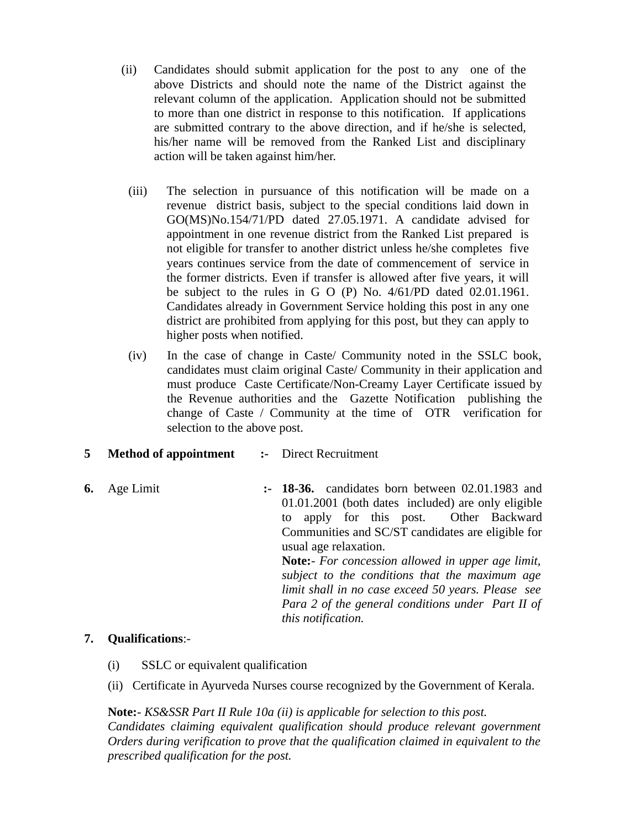- (ii) Candidates should submit application for the post to any one of the above Districts and should note the name of the District against the relevant column of the application. Application should not be submitted to more than one district in response to this notification. If applications are submitted contrary to the above direction, and if he/she is selected, his/her name will be removed from the Ranked List and disciplinary action will be taken against him/her.
- (iii) The selection in pursuance of this notification will be made on a revenue district basis, subject to the special conditions laid down in GO(MS)No.154/71/PD dated 27.05.1971. A candidate advised for appointment in one revenue district from the Ranked List prepared is not eligible for transfer to another district unless he/she completes five years continues service from the date of commencement of service in the former districts. Even if transfer is allowed after five years, it will be subject to the rules in G O (P) No. 4/61/PD dated 02.01.1961. Candidates already in Government Service holding this post in any one district are prohibited from applying for this post, but they can apply to higher posts when notified.
- (iv) In the case of change in Caste/ Community noted in the SSLC book, candidates must claim original Caste/ Community in their application and must produce Caste Certificate/Non-Creamy Layer Certificate issued by the Revenue authorities and the Gazette Notification publishing the change of Caste / Community at the time of OTR verification for selection to the above post.
- **5 Method of appointment** :- Direct Recruitment
- **6.** Age Limit **:- 18-36.** candidates born between 02.01.1983 and 01.01.2001 (both dates included) are only eligible to apply for this post. Other Backward Communities and SC/ST candidates are eligible for usual age relaxation. **Note:**- *For concession allowed in upper age limit, subject to the conditions that the maximum age limit shall in no case exceed 50 years. Please see Para 2 of the general conditions under Part II of this notification.*

### **7. Qualifications**:-

- (i) SSLC or equivalent qualification
- (ii) Certificate in Ayurveda Nurses course recognized by the Government of Kerala.

**Note:**- *KS&SSR Part II Rule 10a (ii) is applicable for selection to this post. Candidates claiming equivalent qualification should produce relevant government Orders during verification to prove that the qualification claimed in equivalent to the prescribed qualification for the post.*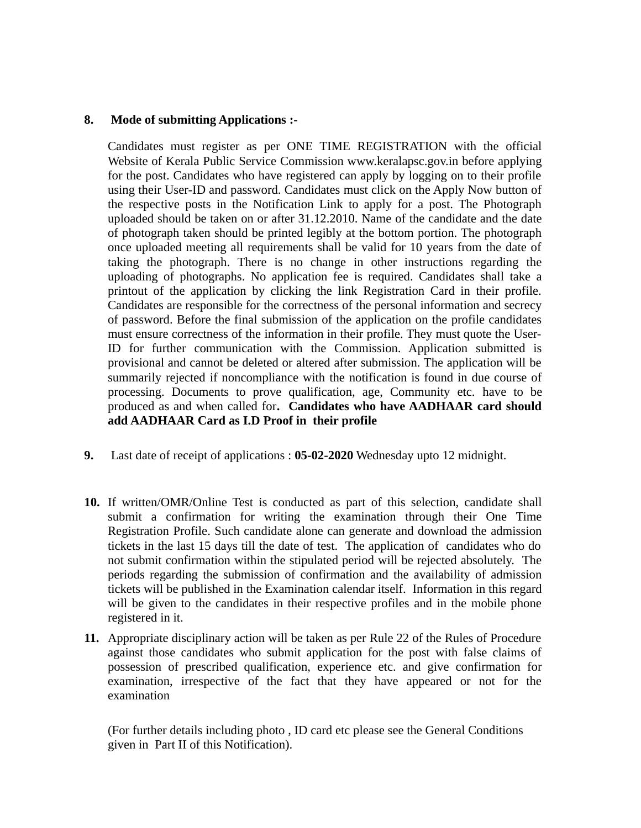### **8. Mode of submitting Applications :-**

Candidates must register as per ONE TIME REGISTRATION with the official Website of Kerala Public Service Commission www.keralapsc.gov.in before applying for the post. Candidates who have registered can apply by logging on to their profile using their User-ID and password. Candidates must click on the Apply Now button of the respective posts in the Notification Link to apply for a post. The Photograph uploaded should be taken on or after 31.12.2010. Name of the candidate and the date of photograph taken should be printed legibly at the bottom portion. The photograph once uploaded meeting all requirements shall be valid for 10 years from the date of taking the photograph. There is no change in other instructions regarding the uploading of photographs. No application fee is required. Candidates shall take a printout of the application by clicking the link Registration Card in their profile. Candidates are responsible for the correctness of the personal information and secrecy of password. Before the final submission of the application on the profile candidates must ensure correctness of the information in their profile. They must quote the User-ID for further communication with the Commission. Application submitted is provisional and cannot be deleted or altered after submission. The application will be summarily rejected if noncompliance with the notification is found in due course of processing. Documents to prove qualification, age, Community etc. have to be produced as and when called for**. Candidates who have AADHAAR card should add AADHAAR Card as I.D Proof in their profile**

- **9.** Last date of receipt of applications : **05-02-2020** Wednesday upto 12 midnight.
- **10.** If written/OMR/Online Test is conducted as part of this selection, candidate shall submit a confirmation for writing the examination through their One Time Registration Profile. Such candidate alone can generate and download the admission tickets in the last 15 days till the date of test. The application of candidates who do not submit confirmation within the stipulated period will be rejected absolutely. The periods regarding the submission of confirmation and the availability of admission tickets will be published in the Examination calendar itself. Information in this regard will be given to the candidates in their respective profiles and in the mobile phone registered in it.
- **11.** Appropriate disciplinary action will be taken as per Rule 22 of the Rules of Procedure against those candidates who submit application for the post with false claims of possession of prescribed qualification, experience etc. and give confirmation for examination, irrespective of the fact that they have appeared or not for the examination

(For further details including photo , ID card etc please see the General Conditions given in Part II of this Notification).